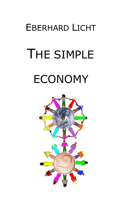# EBERHARD LICHT

# THE SIMPLE ECONOMY

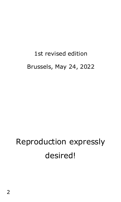# 1st revised edition Brussels, May 24, 2022

# Reproduction expressly desired!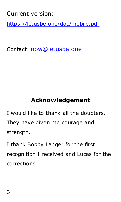Current version:

<https://letusbe.one/doc/mobile.pdf>

Contact: [now@letusbe.one](mailto:now@letusbe.one)

#### **Acknowledgement**

I would like to thank all the doubters. They have given me courage and strength.

I thank Bobby Langer for the first recognition I received and Lucas for the corrections.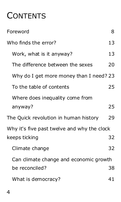# <span id="page-3-0"></span>**CONTENTS**

| Foreword                                    | 8  |
|---------------------------------------------|----|
| Who finds the error?                        | 13 |
| Work, what is it anyway?                    | 13 |
| The difference between the sexes            | 20 |
| Why do I get more money than I need? 23     |    |
| To the table of contents                    | 25 |
| Where does inequality come from             |    |
| anyway?                                     | 25 |
| The Quick revolution in human history       | 29 |
| Why it's five past twelve and why the clock |    |
| keeps ticking                               | 32 |
| Climate change                              | 32 |
| Can climate change and economic growth      |    |
| be reconciled?                              | 38 |
| What is democracy?                          | 41 |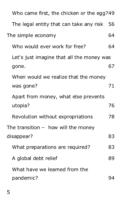| Who came first, the chicken or the egg?49           |    |
|-----------------------------------------------------|----|
| The legal entity that can take any risk             | 56 |
| The simple economy                                  | 64 |
| Who would ever work for free?                       | 64 |
| Let's just imagine that all the money was<br>gone.  | 67 |
| When would we realize that the money<br>was gone?   | 71 |
| Apart from money, what else prevents<br>utopia?     | 76 |
| Revolution without expropriations                   | 78 |
| The transition $-$ how will the money<br>disappear? | 83 |
| What preparations are required?                     | 83 |
| A global debt relief                                | 89 |
| What have we leamed from the                        |    |
| pandemic?                                           | 94 |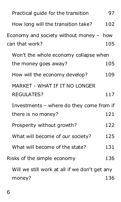| Practical guide for the transition                          | 97  |
|-------------------------------------------------------------|-----|
| How long will the transition take?                          | 102 |
| Economy and society without money $-$ how<br>can that work? | 105 |
| Won't the whole economy collapse when                       |     |
| the money goes away?                                        | 105 |
| How will the economy develop?                               | 109 |
| MARKET - WHAT IF IT NO LONGER                               |     |
| <b>REGULATES?</b>                                           | 117 |
| Investments - where do they come from if                    |     |
| there is no money?                                          | 121 |
| Prosperity without growth?                                  | 122 |
| What will become of our society?                            | 125 |
| What will become of the state?                              | 131 |
| Risks of the simple economy                                 | 136 |
| Will we still work at all if we don't get any               |     |
| money?                                                      | 136 |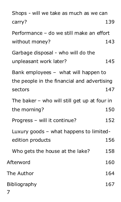| Shops - will we take as much as we can       |     |
|----------------------------------------------|-----|
| carry?                                       | 139 |
| Performance - do we still make an effort     |     |
| without money?                               | 143 |
| Garbage disposal - who will do the           |     |
| unpleasant work later?                       | 145 |
| Bank employees - what will happen to         |     |
| the people in the financial and advertising  |     |
| sectors                                      | 147 |
| The baker - who will still get up at four in |     |
| the morning?                                 | 150 |
| Progress - will it continue?                 | 152 |
| Luxury goods - what happens to limited-      |     |
| edition products                             | 156 |
| Who gets the house at the lake?              | 158 |
| Afterword                                    | 160 |
| The Author                                   | 164 |
| Bibliography<br>7                            | 167 |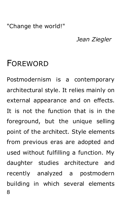#### "Change the world!"

#### *Jean Ziegler*

### <span id="page-7-0"></span>FOREWORD

8 Postmodernism is a contemporary architectural style. It relies mainly on external appearance and on effects. It is not the function that is in the foreground, but the unique selling point of the architect. Style elements from previous eras are adopted and used without fulfilling a function. My daughter studies architecture and recently analyzed a postmodern building in which several elements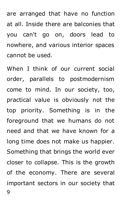are arranged that have no function at all. Inside there are balconies that you can't go on, doors lead to nowhere, and various interior spaces cannot be used.

9 When I think of our current social order, parallels to postmodernism come to mind. In our society, too, practical value is obviously not the top priority. Something is in the foreground that we humans do not need and that we have known for a long time does not make us happier. Something that brings the world ever closer to collapse. This is the growth of the economy. There are several important sectors in our society that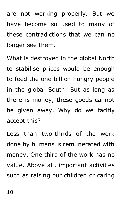are not working properly. But we have become so used to many of these contradictions that we can no longer see them.

What is destroyed in the global North to stabilise prices would be enough to feed the one billion hungry people in the global South. But as long as there is money, these goods cannot be given away. Why do we tacitly accept this?

Less than two-thirds of the work done by humans is remunerated with money. One third of the work has no value. Above all, important activities such as raising our children or caring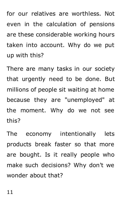for our relatives are worthless. Not even in the calculation of pensions are these considerable working hours taken into account. Why do we put up with this?

There are many tasks in our society that urgently need to be done. But millions of people sit waiting at home because they are "unemployed" at the moment. Why do we not see this?

The economy intentionally lets products break faster so that more are bought. Is it really people who make such decisions? Why don't we wonder about that?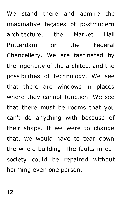We stand there and admire the imaginative façades of postmodern architecture, the Market Hall Rotterdam or the Federal Chancellery. We are fascinated by the ingenuity of the architect and the possibilities of technology. We see that there are windows in places where they cannot function. We see that there must be rooms that you can't do anything with because of their shape. If we were to change that, we would have to tear down the whole building. The faults in our society could be repaired without harming even one person.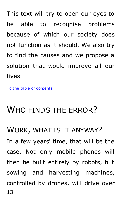This text will try to open our eyes to be able to recognise problems because of which our society does not function as it should. We also try to find the causes and we propose a solution that would improve all our lives.

[To the table of contents](#page-3-0)

# <span id="page-12-0"></span>WHO FINDS THE ERROR?

#### <span id="page-12-1"></span>WORK, WHAT IS IT ANYWAY?

13 In a few years' time, that will be the case. Not only mobile phones will then be built entirely by robots, but sowing and harvesting machines, controlled by drones, will drive over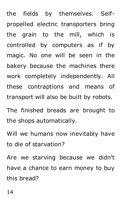the fields by themselves. Selfpropelled electric transporters bring the grain to the mill, which is controlled by computers as if by magic. No one will be seen in the bakery because the machines there work completely independently. All these contraptions and means of transport will also be built by robots.

The finished breads are brought to the shops automatically.

Will we humans now inevitably have to die of starvation?

Are we starving because we didn't have a chance to earn money to buy this bread?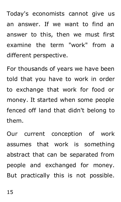Today's economists cannot give us an answer. If we want to find an answer to this, then we must first examine the term "work" from a different perspective.

For thousands of years we have been told that you have to work in order to exchange that work for food or money. It started when some people fenced off land that didn't belong to them.

Our current conception of work assumes that work is something abstract that can be separated from people and exchanged for money. But practically this is not possible.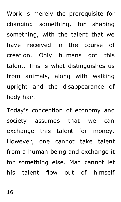Work is merely the prerequisite for changing something, for shaping something, with the talent that we have received in the course of creation. Only humans got this talent. This is what distinguishes us from animals, along with walking upright and the disappearance of body hair.

Today's conception of economy and society assumes that we can exchange this talent for money. However, one cannot take talent from a human being and exchange it for something else. Man cannot let his talent flow out of himself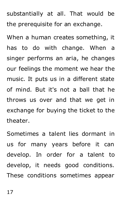substantially at all. That would be the prerequisite for an exchange.

When a human creates something, it has to do with change. When a singer performs an aria, he changes our feelings the moment we hear the music. It puts us in a different state of mind. But it's not a ball that he throws us over and that we get in exchange for buying the ticket to the theater.

Sometimes a talent lies dormant in us for many years before it can develop. In order for a talent to develop, it needs good conditions. These conditions sometimes appear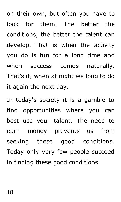on their own, but often you have to look for them. The better the conditions, the better the talent can develop. That is when the activity you do is fun for a long time and when success comes naturally. That's it, when at night we long to do it again the next day.

In today's society it is a gamble to find opportunities where you can best use your talent. The need to earn money prevents us from seeking these good conditions. Today only very few people succeed in finding these good conditions.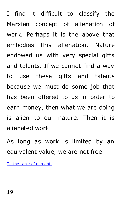I find it difficult to classify the Marxian concept of alienation of work. Perhaps it is the above that embodies this alienation. Nature endowed us with very special gifts and talents. If we cannot find a way to use these gifts and talents because we must do some job that has been offered to us in order to earn money, then what we are doing is alien to our nature. Then it is alienated work.

As long as work is limited by an equivalent value, we are not free.

[To the table of contents](#page-3-0)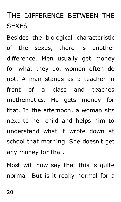# <span id="page-19-0"></span>THE DIFFERENCE BETWEEN THE **SEXES**

Besides the biological characteristic of the sexes, there is another difference. Men usually get money for what they do, women often do not. A man stands as a teacher in front of a class and teaches mathematics. He gets money for that. In the afternoon, a woman sits next to her child and helps him to understand what it wrote down at school that morning. She doesn't get any money for that.

Most will now say that this is quite normal. But is it really normal for a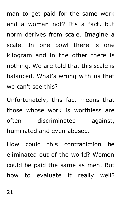man to get paid for the same work and a woman not? It's a fact, but norm derives from scale. Imagine a scale. In one bowl there is one kilogram and in the other there is nothing. We are told that this scale is balanced. What's wrong with us that we can't see this?

Unfortunately, this fact means that those whose work is worthless are often discriminated against, humiliated and even abused.

How could this contradiction be eliminated out of the world? Women could be paid the same as men. But how to evaluate it really well?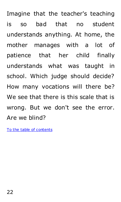Imagine that the teacher's teaching is so bad that no student understands anything. At home, the mother manages with a lot of patience that her child finally understands what was taught in school. Which judge should decide? How many vocations will there be? We see that there is this scale that is wrong. But we don't see the error. Are we blind?

[To the table of contents](#page-3-0)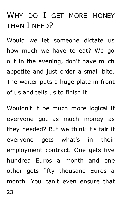# <span id="page-22-0"></span>WHY DO I GET MORE MONEY THAN I NEED?

Would we let someone dictate us how much we have to eat? We go out in the evening, don't have much appetite and just order a small bite. The waiter puts a huge plate in front of us and tells us to finish it.

Wouldn't it be much more logical if everyone got as much money as they needed? But we think it's fair if everyone gets what's in their employment contract. One gets five hundred Euros a month and one other gets fifty thousand Euros a month. You can't even ensure that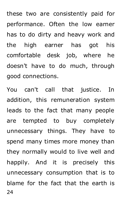these two are consistently paid for performance. Often the low earner has to do dirty and heavy work and the high earner has got his comfortable desk job, where he doesn't have to do much, through good connections.

24 You can't call that justice. In addition, this remuneration system leads to the fact that many people are tempted to buy completely unnecessary things. They have to spend many times more money than they normally would to live well and happily. And it is precisely this unnecessary consumption that is to blame for the fact that the earth is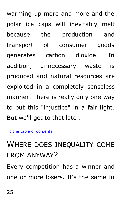warming up more and more and the polar ice caps will inevitably melt because the production and transport of consumer goods generates carbon dioxide. In addition, unnecessary waste is produced and natural resources are exploited in a completely senseless manner. There is really only one way to put this "injustice" in a fair light. But we'll get to that later.

<span id="page-24-0"></span>[To the table of contents](#page-3-0)

# <span id="page-24-1"></span>WHERE DOES INEQUALITY COME FROM ANYWAY?

Every competition has a winner and one or more losers. It's the same in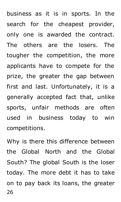business as it is in sports. In the search for the cheapest provider, only one is awarded the contract. The others are the losers. The tougher the competition, the more applicants have to compete for the prize, the greater the gap between first and last. Unfortunately, it is a generally accepted fact that, unlike sports, unfair methods are often used in business today to win competitions.

26 Why is there this difference between the Global North and the Global South? The global South is the loser today. The more debt it has to take on to pay back its loans, the greater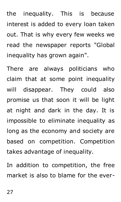the inequality. This is because interest is added to every loan taken out. That is why every few weeks we read the newspaper reports "Global inequality has grown again".

There are always politicians who claim that at some point inequality will disappear. They could also promise us that soon it will be light at night and dark in the day. It is impossible to eliminate inequality as long as the economy and society are based on competition. Competition takes advantage of inequality.

In addition to competition, the free market is also to blame for the ever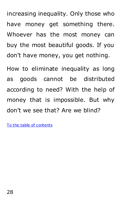increasing inequality. Only those who have money get something there. Whoever has the most money can buy the most beautiful goods. If you don't have money, you get nothing.

How to eliminate inequality as long as goods cannot be distributed according to need? With the help of money that is impossible. But why don't we see that? Are we blind?

[To the table of contents](#page-3-0)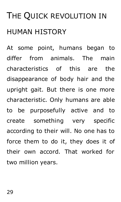# <span id="page-28-0"></span>THE QUICK REVOLUTION IN HUMAN HISTORY

At some point, humans began to differ from animals. The main characteristics of this are the disappearance of body hair and the upright gait. But there is one more characteristic. Only humans are able to be purposefully active and to create something very specific according to their will. No one has to force them to do it, they does it of their own accord. That worked for two million years.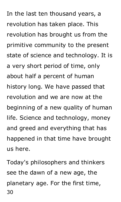In the last ten thousand years, a revolution has taken place. This revolution has brought us from the primitive community to the present state of science and technology. It is a very short period of time, only about half a percent of human history long. We have passed that revolution and we are now at the beginning of a new quality of human life. Science and technology, money and greed and everything that has happened in that time have brought us here.

30 Today's philosophers and thinkers see the dawn of a new age, the planetary age. For the first time,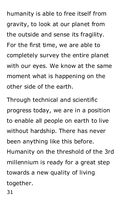humanity is able to free itself from gravity, to look at our planet from the outside and sense its fragility. For the first time, we are able to completely survey the entire planet with our eyes. We know at the same moment what is happening on the other side of the earth.

Through technical and scientific progress today, we are in a position to enable all people on earth to live without hardship. There has never been anything like this before. Humanity on the threshold of the 3rd millennium is ready for a great step towards a new quality of living together.

31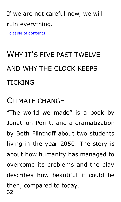### If we are not careful now, we will ruin everything.

[To table of contents](#page-3-0)

# <span id="page-31-0"></span>WHY IT'S FIVE PAST TWELVE AND WHY THE CLOCK KEEPS TICKING

### <span id="page-31-1"></span>CLIMATE CHANGE

32 "The world we made" is a book by Jonathon Porritt and a dramatization by Beth Flinthoff about two students living in the year 2050. The story is about how humanity has managed to overcome its problems and the play describes how beautiful it could be then, compared to today.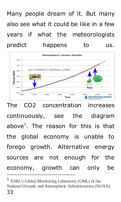Many people dream of it. But many also see what it could be like in a few years if what the meteorologists predict happens to us.



The CO2 concentration increases continuously, see the diagram above<sup>1</sup>. The reason for this is that the global economy is unable to forego growth. Alternative energy sources are not enough for the economy, growth can only be

 $\overline{a}$ 

<sup>33</sup> 1 ESRL's Global Monitoring Laboratory (GML) of the National Oceanic and Atmospheric Administration (NOAA)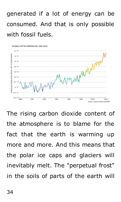# generated if a lot of energy can be consumed. And that is only possible with fossil fuels.



The rising carbon dioxide content of the atmosphere is to blame for the fact that the earth is warming up more and more. And this means that the polar ice caps and glaciers will inevitably melt. The "perpetual frost" in the soils of parts of the earth will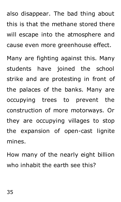also disappear. The bad thing about this is that the methane stored there will escape into the atmosphere and cause even more greenhouse effect.

Many are fighting against this. Many students have joined the school strike and are protesting in front of the palaces of the banks. Many are occupying trees to prevent the construction of more motorways. Or they are occupying villages to stop the expansion of open-cast lignite mines.

How many of the nearly eight billion who inhabit the earth see this?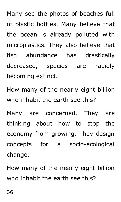Many see the photos of beaches full of plastic bottles. Many believe that the ocean is already polluted with microplastics. They also believe that fish abundance has drastically decreased, species are rapidly becoming extinct.

How many of the nearly eight billion who inhabit the earth see this?

Many are concerned. They are thinking about how to stop the economy from growing. They design concepts for a socio-ecological change.

How many of the nearly eight billion who inhabit the earth see this?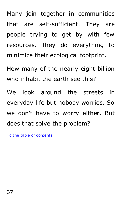Many join together in communities that are self-sufficient. They are people trying to get by with few resources. They do everything to minimize their ecological footprint.

How many of the nearly eight billion who inhabit the earth see this?

We look around the streets in everyday life but nobody worries. So we don't have to worry either. But does that solve the problem?

[To the table of contents](#page-3-0)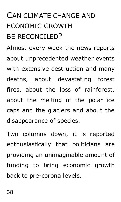## CAN CLIMATE CHANGE AND ECONOMIC GROWTH BE RECONCILED?

Almost every week the news reports about unprecedented weather events with extensive destruction and many deaths, about devastating forest fires, about the loss of rainforest, about the melting of the polar ice caps and the glaciers and about the disappearance of species.

Two columns down, it is reported enthusiastically that politicians are providing an unimaginable amount of funding to bring economic growth back to pre-corona levels.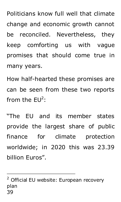Politicians know full well that climate change and economic growth cannot be reconciled. Nevertheless, they keep comforting us with vague promises that should come true in many years.

How half-hearted these promises are can be seen from these two reports from the  $EU^2$ :

"The EU and its member states provide the largest share of public finance for climate protection worldwide; in 2020 this was 23.39 billion Euros".

39 <sup>2</sup> Official EU website: European recovery plan

-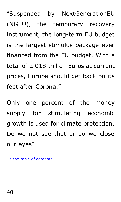"Suspended by NextGenerationEU (NGEU), the temporary recovery instrument, the long-term EU budget is the largest stimulus package ever financed from the EU budget. With a total of 2.018 trillion Euros at current prices, Europe should get back on its feet after Corona."

Only one percent of the money supply for stimulating economic growth is used for climate protection. Do we not see that or do we close our eyes?

[To the table of contents](#page-3-0)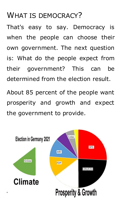#### WHAT IS DEMOCRACY?

That's easy to say. Democracy is when the people can choose their own government. The next question is: What do the people expect from their government? This can be determined from the election result.

About 85 percent of the people want prosperity and growth and expect the government to provide.

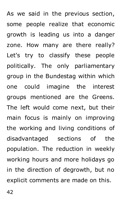As we said in the previous section, some people realize that economic growth is leading us into a danger zone. How many are there really? Let's try to classify these people politically. The only parliamentary group in the Bundestag within which one could imagine the interest groups mentioned are the Greens. The left would come next, but their main focus is mainly on improving the working and living conditions of disadvantaged sections of the population. The reduction in weekly working hours and more holidays go in the direction of degrowth, but no explicit comments are made on this.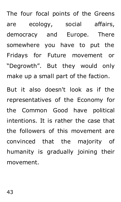The four focal points of the Greens are ecology, social affairs, democracy and Europe. There somewhere you have to put the Fridays for Future movement or "Degrowth". But they would only make up a small part of the faction.

But it also doesn't look as if the representatives of the Economy for the Common Good have political intentions. It is rather the case that the followers of this movement are convinced that the majority of humanity is gradually joining their movement.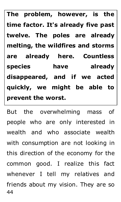**The problem, however, is the time factor. It's already five past twelve. The poles are already melting, the wildfires and storms are already here. Countless species have already disappeared, and if we acted quickly, we might be able to prevent the worst.** 

44 But the overwhelming mass of people who are only interested in wealth and who associate wealth with consumption are not looking in this direction of the economy for the common good. I realize this fact whenever I tell my relatives and friends about my vision. They are so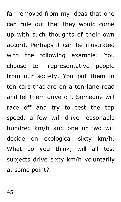far removed from my ideas that one can rule out that they would come up with such thoughts of their own accord. Perhaps it can be illustrated with the following example: You choose ten representative people from our society. You put them in ten cars that are on a ten-lane road and let them drive off. Someone will race off and try to test the top speed, a few will drive reasonable hundred km/h and one or two will decide on ecological sixty km/h. What do you think, will all test subjects drive sixty km/h voluntarily at some point?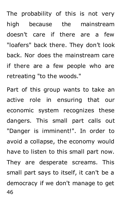The probability of this is not very high because the mainstream doesn't care if there are a few "loafers" back there. They don't look back. Nor does the mainstream care if there are a few people who are retreating "to the woods."

46 Part of this group wants to take an active role in ensuring that our economic system recognizes these dangers. This small part calls out "Danger is imminent!". In order to avoid a collapse, the economy would have to listen to this small part now. They are desperate screams. This small part says to itself, it can't be a democracy if we don't manage to get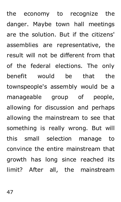the economy to recognize the danger. Maybe town hall meetings are the solution. But if the citizens' assemblies are representative, the result will not be different from that of the federal elections. The only benefit would be that the townspeople's assembly would be a manageable group of people, allowing for discussion and perhaps allowing the mainstream to see that something is really wrong. But will this small selection manage to convince the entire mainstream that growth has long since reached its limit? After all, the mainstream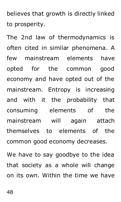believes that growth is directly linked to prosperity.

The 2nd law of thermodynamics is often cited in similar phenomena. A few mainstream elements have opted for the common good economy and have opted out of the mainstream. Entropy is increasing and with it the probability that consuming elements of the mainstream will again attach themselves to elements of the common good economy decreases. We have to say goodbye to the idea

that society as a whole will change on its own. Within the time we have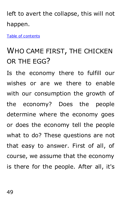left to avert the collapse, this will not happen.

[Table of contents](#page-3-0)

### WHO CAME FIRST, THE CHICKEN OR THE EGG?

Is the economy there to fulfill our wishes or are we there to enable with our consumption the growth of the economy? Does the people determine where the economy goes or does the economy tell the people what to do? These questions are not that easy to answer. First of all, of course, we assume that the economy is there for the people. After all, it's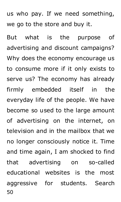us who pay. If we need something, we go to the store and buy it.

50 But what is the purpose of advertising and discount campaigns? Why does the economy encourage us to consume more if it only exists to serve us? The economy has already firmly embedded itself in the everyday life of the people. We have become so used to the large amount of advertising on the internet, on television and in the mailbox that we no longer consciously notice it. Time and time again, I am shocked to find that advertising on so-called educational websites is the most aggressive for students. Search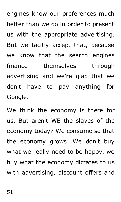engines know our preferences much better than we do in order to present us with the appropriate advertising. But we tacitly accept that, because we know that the search engines finance themselves through advertising and we're glad that we don't have to pay anything for Google.

We think the economy is there for us. But aren't WE the slaves of the economy today? We consume so that the economy grows. We don't buy what we really need to be happy, we buy what the economy dictates to us with advertising, discount offers and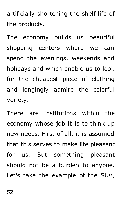artificially shortening the shelf life of the products.

The economy builds us beautiful shopping centers where we can spend the evenings, weekends and holidays and which enable us to look for the cheapest piece of clothing and longingly admire the colorful variety.

There are institutions within the economy whose job it is to think up new needs. First of all, it is assumed that this serves to make life pleasant for us. But something pleasant should not be a burden to anyone. Let's take the example of the SUV,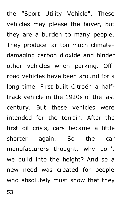the "Sport Utility Vehicle". These vehicles may please the buyer, but they are a burden to many people. They produce far too much climatedamaging carbon dioxide and hinder other vehicles when parking. Offroad vehicles have been around for a long time. First built Citroën a halftrack vehicle in the 1920s of the last century. But these vehicles were intended for the terrain. After the first oil crisis, cars became a little shorter again. So the car manufacturers thought, why don't we build into the height? And so a new need was created for people who absolutely must show that they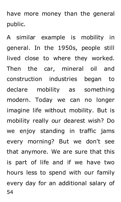have more money than the general public.

54 A similar example is mobility in general. In the 1950s, people still lived close to where they worked. Then the car, mineral oil and construction industries began to declare mobility as something modern. Today we can no longer imagine life without mobility. But is mobility really our dearest wish? Do we enjoy standing in traffic jams every morning? But we don't see that anymore. We are sure that this is part of life and if we have two hours less to spend with our family every day for an additional salary of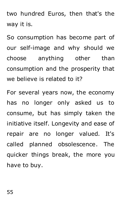two hundred Euros, then that's the way it is.

So consumption has become part of our self-image and why should we choose anything other than consumption and the prosperity that we believe is related to it?

For several years now, the economy has no longer only asked us to consume, but has simply taken the initiative itself. Longevity and ease of repair are no longer valued. It's called planned obsolescence. The quicker things break, the more you have to buy.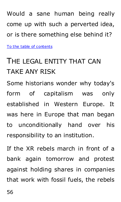Would a sane human being really come up with such a perverted idea, or is there something else behind it?

[To the table of contents](#page-3-0)

### THE LEGAL ENTITY THAT CAN TAKE ANY RISK

Some historians wonder why today's form of capitalism was only established in Western Europe. It was here in Europe that man began to unconditionally hand over his responsibility to an institution.

If the XR rebels march in front of a bank again tomorrow and protest against holding shares in companies that work with fossil fuels, the rebels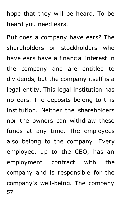hope that they will be heard. To be heard you need ears.

57 But does a company have ears? The shareholders or stockholders who have ears have a financial interest in the company and are entitled to dividends, but the company itself is a legal entity. This legal institution has no ears. The deposits belong to this institution. Neither the shareholders nor the owners can withdraw these funds at any time. The employees also belong to the company. Every employee, up to the CEO, has an employment contract with the company and is responsible for the company's well-being. The company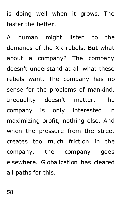is doing well when it grows. The faster the better.

A human might listen to the demands of the XR rebels. But what about a company? The company doesn't understand at all what these rebels want. The company has no sense for the problems of mankind. Inequality doesn't matter. The company is only interested in maximizing profit, nothing else. And when the pressure from the street creates too much friction in the company, the company goes elsewhere. Globalization has cleared all paths for this.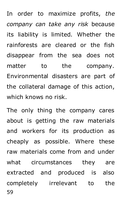In order to maximize profits, *the company can take any risk* because its liability is limited. Whether the rainforests are cleared or the fish disappear from the sea does not matter to the company. Environmental disasters are part of the collateral damage of this action, which knows no risk.

59 The only thing the company cares about is getting the raw materials and workers for its production as cheaply as possible. Where these raw materials come from and under what circumstances they are extracted and produced is also completely irrelevant to the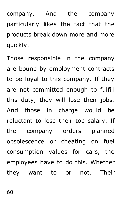company. And the company particularly likes the fact that the products break down more and more quickly.

Those responsible in the company are bound by employment contracts to be loyal to this company. If they are not committed enough to fulfill this duty, they will lose their jobs. And those in charge would be reluctant to lose their top salary. If the company orders planned obsolescence or cheating on fuel consumption values for cars, the employees have to do this. Whether they want to or not. Their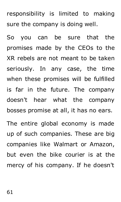responsibility is limited to making sure the company is doing well.

So you can be sure that the promises made by the CEOs to the XR rebels are not meant to be taken seriously. In any case, the time when these promises will be fulfilled is far in the future. The company doesn't hear what the company bosses promise at all, it has no ears. The entire global economy is made

up of such companies. These are big companies like Walmart or Amazon, but even the bike courier is at the mercy of his company. If he doesn't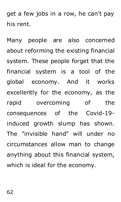get a few jobs in a row, he can't pay his rent.

Many people are also concerned about reforming the existing financial system. These people forget that the financial system is a tool of the global economy. And it works excellently for the economy, as the rapid overcoming of the consequences of the Covid-19 induced growth slump has shown. The "invisible hand" will under no circumstances allow man to change anything about this financial system, which is ideal for the economy.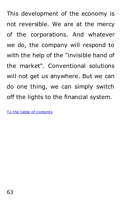This development of the economy is not reversible. We are at the mercy of the corporations. And whatever we do, the company will respond to with the help of the "invisible hand of the market". Conventional solutions will not get us anywhere. But we can do one thing, we can simply switch off the lights to the financial system.

[To the table of contents](#page-3-0)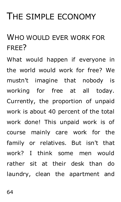# THE SIMPLE ECONOMY

### WHO WOULD EVER WORK FOR FREE?

What would happen if everyone in the world would work for free? We mustn't imagine that nobody is working for free at all today. Currently, the proportion of unpaid work is about 40 percent of the total work done! This unpaid work is of course mainly care work for the family or relatives. But isn't that work? I think some men would rather sit at their desk than do laundry, clean the apartment and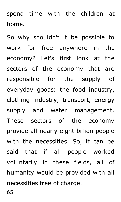spend time with the children at home.

So why shouldn't it be possible to work for free anywhere in the economy? Let's first look at the sectors of the economy that are responsible for the supply of everyday goods: the food industry, clothing industry, transport, energy supply and water management. These sectors of the economy provide all nearly eight billion people with the necessities. So, it can be said that if all people worked voluntarily in these fields, all of humanity would be provided with all necessities free of charge.

65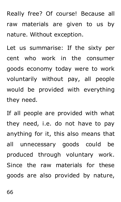Really free? Of course! Because all raw materials are given to us by nature. Without exception.

Let us summarise: If the sixty per cent who work in the consumer goods economy today were to work voluntarily without pay, all people would be provided with everything they need.

If all people are provided with what they need, i.e. do not have to pay anything for it, this also means that all unnecessary goods could be produced through voluntary work. Since the raw materials for these goods are also provided by nature,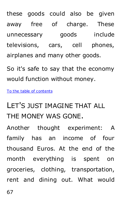these goods could also be given away free of charge. These unnecessary goods include televisions, cars, cell phones, airplanes and many other goods.

So it's safe to say that the economy would function without money.

[To the table of contents](#page-3-0)

### LET'S JUST IMAGINE THAT ALL THE MONEY WAS GONE.

Another thought experiment: A family has an income of four thousand Euros. At the end of the month everything is spent on groceries, clothing, transportation, rent and dining out. What would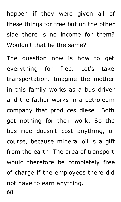happen if they were given all of these things for free but on the other side there is no income for them? Wouldn't that be the same?

The question now is how to get everything for free. Let's take transportation. Imagine the mother in this family works as a bus driver and the father works in a petroleum company that produces diesel. Both get nothing for their work. So the bus ride doesn't cost anything, of course, because mineral oil is a gift from the earth. The area of transport would therefore be completely free of charge if the employees there did not have to earn anything.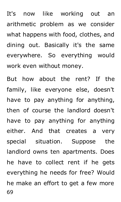It's now like working out an arithmetic problem as we consider what happens with food, clothes, and dining out. Basically it's the same everywhere. So everything would work even without money.

69 But how about the rent? If the family, like everyone else, doesn't have to pay anything for anything, then of course the landlord doesn't have to pay anything for anything either. And that creates a very special situation. Suppose the landlord owns ten apartments. Does he have to collect rent if he gets everything he needs for free? Would he make an effort to get a few more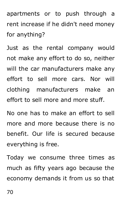apartments or to push through a rent increase if he didn't need money for anything?

Just as the rental company would not make any effort to do so, neither will the car manufacturers make any effort to sell more cars. Nor will clothing manufacturers make an effort to sell more and more stuff.

No one has to make an effort to sell more and more because there is no benefit. Our life is secured because everything is free.

Today we consume three times as much as fifty years ago because the economy demands it from us so that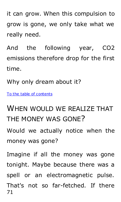it can grow. When this compulsion to grow is gone, we only take what we really need.

And the following year, CO2 emissions therefore drop for the first time.

Why only dream about it?

[To the table of contents](#page-3-0)

### WHEN WOULD WE REALIZE THAT THE MONEY WAS GONE?

Would we actually notice when the money was gone?

71 Imagine if all the money was gone tonight. Maybe because there was a spell or an electromagnetic pulse. That's not so far-fetched. If there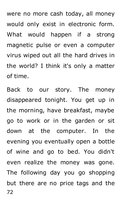were no more cash today, all money would only exist in electronic form. What would happen if a strong magnetic pulse or even a computer virus wiped out all the hard drives in the world? I think it's only a matter of time.

72 Back to our story. The money disappeared tonight. You get up in the morning, have breakfast, maybe go to work or in the garden or sit down at the computer. In the evening you eventually open a bottle of wine and go to bed. You didn't even realize the money was gone. The following day you go shopping but there are no price tags and the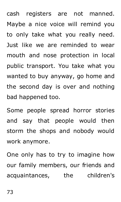cash registers are not manned. Maybe a nice voice will remind you to only take what you really need. Just like we are reminded to wear mouth and nose protection in local public transport. You take what you wanted to buy anyway, go home and the second day is over and nothing bad happened too.

Some people spread horror stories and say that people would then storm the shops and nobody would work anymore.

One only has to try to imagine how our family members, our friends and acquaintances, the children's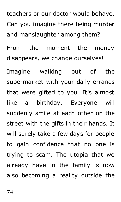teachers or our doctor would behave. Can you imagine there being murder and manslaughter among them?

From the moment the money disappears, we change ourselves!

Imagine walking out of the supermarket with your daily errands that were gifted to you. It's almost like a birthday. Everyone will suddenly smile at each other on the street with the gifts in their hands. It will surely take a few days for people to gain confidence that no one is trying to scam. The utopia that we already have in the family is now also becoming a reality outside the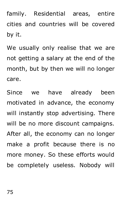family. Residential areas, entire cities and countries will be covered by it.

We usually only realise that we are not getting a salary at the end of the month, but by then we will no longer care.

Since we have already been motivated in advance, the economy will instantly stop advertising. There will be no more discount campaigns. After all, the economy can no longer make a profit because there is no more money. So these efforts would be completely useless. Nobody will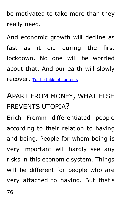be motivated to take more than they really need.

And economic growth will decline as fast as it did during the first lockdown. No one will be worried about that. And our earth will slowly recover. [To the table of contents](#page-3-0)

## APART FROM MONEY, WHAT ELSE PREVENTS UTOPIA?

Erich Fromm differentiated people according to their relation to having and being. People for whom being is very important will hardly see any risks in this economic system. Things will be different for people who are very attached to having. But that's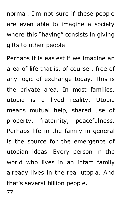normal. I'm not sure if these people are even able to imagine a society where this "having" consists in giving gifts to other people.

Perhaps it is easiest if we imagine an area of life that is, of course , free of any logic of exchange today. This is the private area. In most families, utopia is a lived reality. Utopia means mutual help, shared use of property, fraternity, peacefulness. Perhaps life in the family in general is the source for the emergence of utopian ideas. Every person in the world who lives in an intact family already lives in the real utopia. And that's several billion people.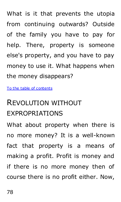What is it that prevents the utopia from continuing outwards? Outside of the family you have to pay for help. There, property is someone else's property, and you have to pay money to use it. What happens when the money disappears?

[To the table of contents](#page-3-0)

### REVOLUTION WITHOUT EXPROPRIATIONS

What about property when there is no more money? It is a well-known fact that property is a means of making a profit. Profit is money and if there is no more money then of course there is no profit either. Now,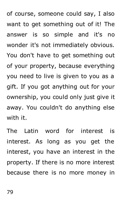of course, someone could say, I also want to get something out of it! The answer is so simple and it's no wonder it's not immediately obvious. You don't have to get something out of your property, because everything you need to live is given to you as a gift. If you got anything out for your ownership, you could only just give it away. You couldn't do anything else with it.

The Latin word for interest is interest. As long as you get the interest, you have an interest in the property. If there is no more interest because there is no more money in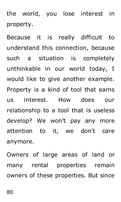the world, you lose interest in property.

Because it is really difficult to understand this connection, because such a situation is completely unthinkable in our world today, I would like to give another example. Property is a kind of tool that earns us interest. How does our relationship to a tool that is useless develop? We won't pay any more attention to it, we don't care anymore.

Owners of large areas of land or many rental properties remain owners of these properties. But since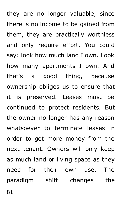they are no longer valuable, since there is no income to be gained from them, they are practically worthless and only require effort. You could say: look how much land I own. Look how many apartments I own. And that's a good thing, because ownership obliges us to ensure that it is preserved. Leases must be continued to protect residents. But the owner no longer has any reason whatsoever to terminate leases in order to get more money from the next tenant. Owners will only keep as much land or living space as they need for their own use. The paradigm shift changes the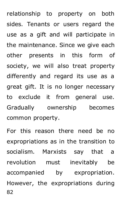relationship to property on both sides. Tenants or users regard the use as a gift and will participate in the maintenance. Since we give each other presents in this form of society, we will also treat property differently and regard its use as a great gift. It is no longer necessary to exclude it from general use. Gradually ownership becomes common property.

82 For this reason there need be no expropriations as in the transition to socialism. Marxists say that a revolution must inevitably be accompanied by expropriation. However, the expropriations during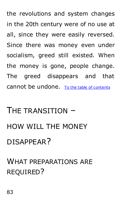the revolutions and system changes in the 20th century were of no use at all, since they were easily reversed. Since there was money even under socialism, greed still existed. When the money is gone, people change. The greed disappears and that cannot be undone. [To the table of contents](#page-3-0)

# THE TRANSITION – HOW WILL THE MONEY DISAPPEAR?

## WHAT PREPARATIONS ARE REQUIRED?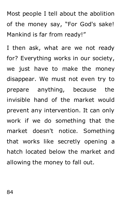Most people I tell about the abolition of the money say, "For God's sake! Mankind is far from ready!"

I then ask, what are we not ready for? Everything works in our society, we just have to make the money disappear. We must not even try to prepare anything, because the invisible hand of the market would prevent any intervention. It can only work if we do something that the market doesn't notice. Something that works like secretly opening a hatch located below the market and allowing the money to fall out.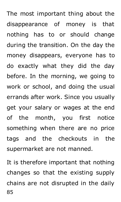The most important thing about the disappearance of money is that nothing has to or should change during the transition. On the day the money disappears, everyone has to do exactly what they did the day before. In the morning, we going to work or school, and doing the usual errands after work. Since you usually get your salary or wages at the end of the month, you first notice something when there are no price tags and the checkouts in the supermarket are not manned.

85 It is therefore important that nothing changes so that the existing supply chains are not disrupted in the daily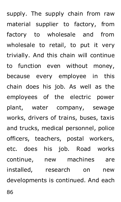supply. The supply chain from raw material supplier to factory, from factory to wholesale and from wholesale to retail, to put it very trivially. And this chain will continue to function even without money, because every employee in this chain does his job. As well as the employees of the electric power plant, water company, sewage works, drivers of trains, buses, taxis and trucks, medical personnel, police officers, teachers, postal workers, etc. does his job. Road works continue, new machines are installed, research on new developments is continued. And each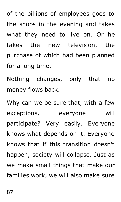of the billions of employees goes to the shops in the evening and takes what they need to live on. Or he takes the new television, the purchase of which had been planned for a long time.

Nothing changes, only that no money flows back.

Why can we be sure that, with a few exceptions, everyone will participate? Very easily. Everyone knows what depends on it. Everyone knows that if this transition doesn't happen, society will collapse. Just as we make small things that make our families work, we will also make sure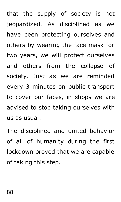that the supply of society is not jeopardized. As disciplined as we have been protecting ourselves and others by wearing the face mask for two years, we will protect ourselves and others from the collapse of society. Just as we are reminded every 3 minutes on public transport to cover our faces, in shops we are advised to stop taking ourselves with us as usual.

The disciplined and united behavior of all of humanity during the first lockdown proved that we are capable of taking this step.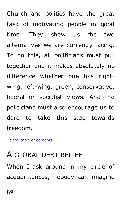Church and politics have the great task of motivating people in good time. They show us the two alternatives we are currently facing. To do this, all politicians must pull together and it makes absolutely no difference whether one has rightwing, left-wing, green, conservative, liberal or socialist views. And the politicians must also encourage us to dare to take this step towards freedom.

[To the table of contents](#page-3-0)

#### A GLOBAL DEBT RELIEF

When I ask around in my circle of acquaintances, nobody can imagine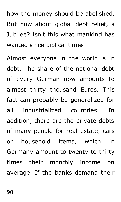how the money should be abolished. But how about global debt relief, a Jubilee? Isn't this what mankind has wanted since biblical times?

Almost everyone in the world is in debt. The share of the national debt of every German now amounts to almost thirty thousand Euros. This fact can probably be generalized for all industrialized countries. In addition, there are the private debts of many people for real estate, cars or household items, which in Germany amount to twenty to thirty times their monthly income on average. If the banks demand their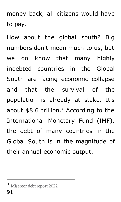money back, all citizens would have to pay.

How about the global south? Big numbers don't mean much to us, but we do know that many highly indebted countries in the Global South are facing economic collapse and that the survival of the population is already at stake. It's about  $$8.6$  trillion.<sup>3</sup> According to the International Monetary Fund (IMF), the debt of many countries in the Global South is in the magnitude of their annual economic output.

-

<sup>3</sup> Misereor debt report 2022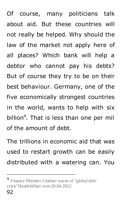Of course, many politicians talk about aid. But these countries will not really be helped. Why should the law of the market not apply here of all places? Which bank will help a debtor who cannot pay his debts? But of course they try to be on their best behaviour. Germany, one of the five economically strongest countries in the world, wants to help with six billion<sup>4</sup>. That is less than one per mil of the amount of debt.

The trillions in economic aid that was used to restart growth can be easily distributed with a watering can. You

-

<sup>&</sup>lt;sup>4</sup> Finance Minister Lindner warns of "global debt crisis"Handelsblatt vom 20.04.2022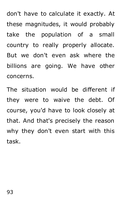don't have to calculate it exactly. At these magnitudes, it would probably take the population of a small country to really properly allocate. But we don't even ask where the billions are going. We have other concerns.

The situation would be different if they were to waive the debt. Of course, you'd have to look closely at that. And that's precisely the reason why they don't even start with this task.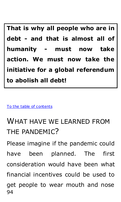**That is why all people who are in debt - and that is almost all of humanity - must now take action. We must now take the initiative for a global referendum to abolish all debt!**

[To the table of contents](#page-3-0)

### WHAT HAVE WE LEARNED FROM THE PANDEMIC?

94 Please imagine if the pandemic could have been planned. The first consideration would have been what financial incentives could be used to get people to wear mouth and nose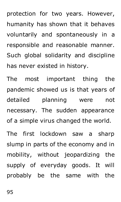protection for two years. However, humanity has shown that it behaves voluntarily and spontaneously in a responsible and reasonable manner. Such global solidarity and discipline has never existed in history.

The most important thing the pandemic showed us is that years of detailed planning were not necessary. The sudden appearance of a simple virus changed the world.

The first lockdown saw a sharp slump in parts of the economy and in mobility, without jeopardizing the supply of everyday goods. It will probably be the same with the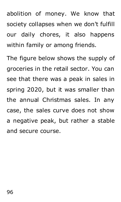abolition of money. We know that society collapses when we don't fulfill our daily chores, it also happens within family or among friends.

The figure below shows the supply of groceries in the retail sector. You can see that there was a peak in sales in spring 2020, but it was smaller than the annual Christmas sales. In any case, the sales curve does not show a negative peak, but rather a stable and secure course.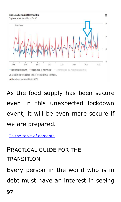

As the food supply has been secure even in this unexpected lockdown event, it will be even more secure if we are prepared.

[To the table of contents](#page-3-0) 

PRACTICAL GUIDE FOR THE **TRANSITION** 

Every person in the world who is in debt must have an interest in seeing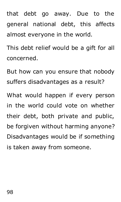that debt go away. Due to the general national debt, this affects almost everyone in the world.

This debt relief would be a gift for all concerned.

But how can you ensure that nobody suffers disadvantages as a result?

What would happen if every person in the world could vote on whether their debt, both private and public, be forgiven without harming anyone? Disadvantages would be if something is taken away from someone.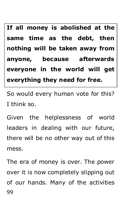**If all money is abolished at the same time as the debt, then nothing will be taken away from anyone, because afterwards everyone in the world will get everything they need for free.**

So would every human vote for this? I think so.

Given the helplessness of world leaders in dealing with our future, there will be no other way out of this mess.

99 The era of money is over. The power over it is now completely slipping out of our hands. Many of the activities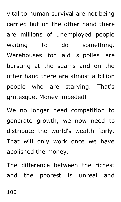vital to human survival are not being carried but on the other hand there are millions of unemployed people waiting to do something. Warehouses for aid supplies are bursting at the seams and on the other hand there are almost a billion people who are starving. That's grotesque. Money impeded!

We no longer need competition to generate growth, we now need to distribute the world's wealth fairly. That will only work once we have abolished the money.

The difference between the richest and the poorest is unreal and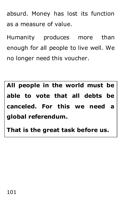absurd. Money has lost its function as a measure of value.

Humanity produces more than enough for all people to live well. We no longer need this voucher.

**All people in the world must be able to vote that all debts be canceled. For this we need a global referendum.** 

**That is the great task before us.**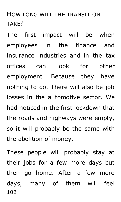#### HOW LONG WILL THE TRANSITION TAKE?

The first impact will be when employees in the finance and insurance industries and in the tax offices can look for other employment. Because they have nothing to do. There will also be job losses in the automotive sector. We had noticed in the first lockdown that the roads and highways were empty, so it will probably be the same with the abolition of money.

102 These people will probably stay at their jobs for a few more days but then go home. After a few more days, many of them will feel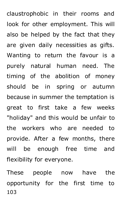claustrophobic in their rooms and look for other employment. This will also be helped by the fact that they are given daily necessities as gifts. Wanting to return the favour is a purely natural human need. The timing of the abolition of money should be in spring or autumn because in summer the temptation is great to first take a few weeks "holiday" and this would be unfair to the workers who are needed to provide. After a few months, there will be enough free time and flexibility for everyone.

103 These people now have the opportunity for the first time to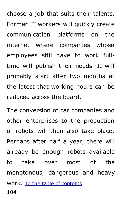choose a job that suits their talents. Former IT workers will quickly create communication platforms on the internet where companies whose employees still have to work fulltime will publish their needs. It will probably start after two months at the latest that working hours can be reduced across the board.

104 The conversion of car companies and other enterprises to the production of robots will then also take place. Perhaps after half a year, there will already be enough robots available to take over most of the monotonous, dangerous and heavy work. [To the table of contents](#page-3-0)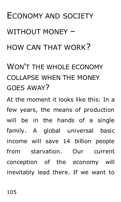# ECONOMY AND SOCIETY WITHOUT MONEY – HOW CAN THAT WORK?

# WON'T THE WHOLE ECONOMY COLLAPSE WHEN THE MONEY GOES AWAY?

At the moment it looks like this: In a few years, the means of production will be in the hands of a single family. A global universal basic income will save 14 billion people from starvation. Our current conception of the economy will inevitably lead there. If we want to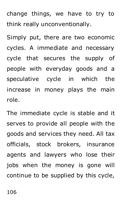change things, we have to try to think really unconventionally.

Simply put, there are two economic cycles. A immediate and necessary cycle that secures the supply of people with everyday goods and a speculative cycle in which the increase in money plays the main role.

The immediate cycle is stable and it serves to provide all people with the goods and services they need. All tax officials, stock brokers, insurance agents and lawyers who lose their jobs when the money is gone will continue to be supplied by this cycle,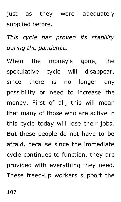just as they were adequately supplied before.

*This cycle has proven its stability during the pandemic.*

When the money's gone, the speculative cycle will disappear, since there is no longer any possibility or need to increase the money. First of all, this will mean that many of those who are active in this cycle today will lose their jobs. But these people do not have to be afraid, because since the immediate cycle continues to function, they are provided with everything they need. These freed-up workers support the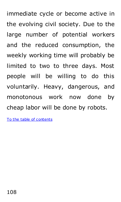immediate cycle or become active in the evolving civil society. Due to the large number of potential workers and the reduced consumption, the weekly working time will probably be limited to two to three days. Most people will be willing to do this voluntarily. Heavy, dangerous, and monotonous work now done by cheap labor will be done by robots.

[To the table of contents](#page-3-0)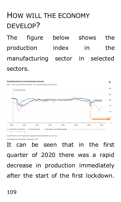## HOW WILL THE ECONOMY DEVELOP?

The figure below shows the production index in the manufacturing sector in selected sectors.



Das Anklicken oder Antippen der Legende blendet Merkmale aus und ein.

o M Statistisches Bundesamt (Destatis), 2022

It can be seen that in the first quarter of 2020 there was a rapid decrease in production immediately after the start of the first lockdown.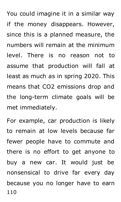You could imagine it in a similar way if the money disappears. However, since this is a planned measure, the numbers will remain at the minimum level. There is no reason not to assume that production will fall at least as much as in spring 2020. This means that CO2 emissions drop and the long-term climate goals will be met immediately.

110 For example, car production is likely to remain at low levels because far fewer people have to commute and there is no effort to get anyone to buy a new car. It would just be nonsensical to drive far every day because you no longer have to earn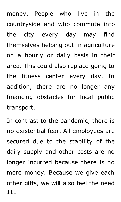money. People who live in the countryside and who commute into the city every day may find themselves helping out in agriculture on a hourly or daily basis in their area. This could also replace going to the fitness center every day. In addition, there are no longer any financing obstacles for local public transport.

111 In contrast to the pandemic, there is no existential fear. All employees are secured due to the stability of the daily supply and other costs are no longer incurred because there is no more money. Because we give each other gifts, we will also feel the need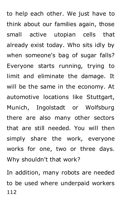to help each other. We just have to think about our families again, those small active utopian cells that already exist today. Who sits idly by when someone's bag of sugar falls? Everyone starts running, trying to limit and eliminate the damage. It will be the same in the economy. At automotive locations like Stuttgart, Munich, Ingolstadt or Wolfsburg there are also many other sectors that are still needed. You will then simply share the work, everyone works for one, two or three days. Why shouldn't that work?

112 In addition, many robots are needed to be used where underpaid workers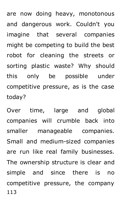are now doing heavy, monotonous and dangerous work. Couldn't you imagine that several companies might be competing to build the best robot for cleaning the streets or sorting plastic waste? Why should this only be possible under competitive pressure, as is the case today?

113 Over time, large and global companies will crumble back into smaller manageable companies. Small and medium-sized companies are run like real family businesses. The ownership structure is clear and simple and since there is no competitive pressure, the company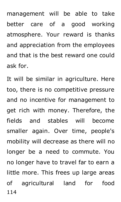management will be able to take better care of a good working atmosphere. Your reward is thanks and appreciation from the employees and that is the best reward one could ask for.

114 It will be similar in agriculture. Here too, there is no competitive pressure and no incentive for management to get rich with money. Therefore, the fields and stables will become smaller again. Over time, people's mobility will decrease as there will no longer be a need to commute. You no longer have to travel far to earn a little more. This frees up large areas of agricultural land for food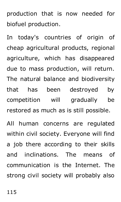production that is now needed for biofuel production.

In today's countries of origin of cheap agricultural products, regional agriculture, which has disappeared due to mass production, will return. The natural balance and biodiversity that has been destroyed by competition will gradually be restored as much as is still possible.

All human concerns are regulated within civil society. Everyone will find a job there according to their skills and inclinations. The means of communication is the Internet. The strong civil society will probably also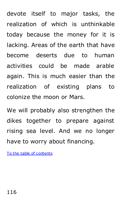devote itself to major tasks, the realization of which is unthinkable today because the money for it is lacking. Areas of the earth that have become deserts due to human activities could be made arable again. This is much easier than the realization of existing plans to colonize the moon or Mars.

We will probably also strengthen the dikes together to prepare against rising sea level. And we no longer have to worry about financing.

[To the table of contents](#page-3-0)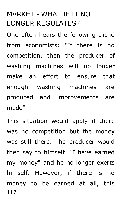#### MARKET - WHAT IF IT NO LONGER REGULATES?

One often hears the following cliché from economists: "If there is no competition, then the producer of washing machines will no longer make an effort to ensure that enough washing machines are produced and improvements are made".

117 This situation would apply if there was no competition but the money was still there. The producer would then say to himself: "I have earned my money" and he no longer exerts himself. However, if there is no money to be earned at all, this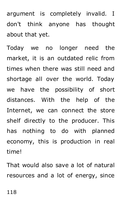argument is completely invalid. I don't think anyone has thought about that yet.

Today we no longer need the market, it is an outdated relic from times when there was still need and shortage all over the world. Today we have the possibility of short distances. With the help of the Internet, we can connect the store shelf directly to the producer. This has nothing to do with planned economy, this is production in real time!

That would also save a lot of natural resources and a lot of energy, since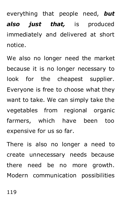everything that people need, *but also just that,* is produced immediately and delivered at short notice.

We also no longer need the market because it is no longer necessary to look for the cheapest supplier. Everyone is free to choose what they want to take. We can simply take the vegetables from regional organic farmers, which have been too expensive for us so far.

There is also no longer a need to create unnecessary needs because there need be no more growth. Modern communication possibilities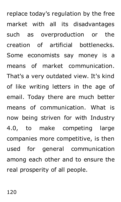replace today's regulation by the free market with all its disadvantages such as overproduction or the creation of artificial bottlenecks. Some economists say money is a means of market communication. That's a very outdated view. It's kind of like writing letters in the age of email. Today there are much better means of communication. What is now being striven for with Industry 4.0, to make competing large companies more competitive, is then used for general communication among each other and to ensure the real prosperity of all people.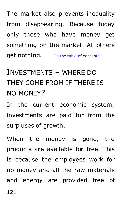The market also prevents inequality from disappearing. Because today only those who have money get something on the market. All others get nothing. [To the table of contents](#page-3-0)

## INVESTMENTS – WHERE DO THEY COME FROM IF THERE IS NO MONEY?

In the current economic system, investments are paid for from the surpluses of growth.

When the money is gone, the products are available for free. This is because the employees work for no money and all the raw materials and energy are provided free of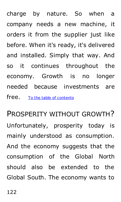charge by nature. So when a company needs a new machine, it orders it from the supplier just like before. When it's ready, it's delivered and installed. Simply that way. And so it continues throughout the economy. Growth is no longer needed because investments are free. [To the table of contents](#page-3-0)

PROSPERITY WITHOUT GROWTH? Unfortunately, prosperity today is mainly understood as consumption. And the economy suggests that the consumption of the Global North should also be extended to the Global South. The economy wants to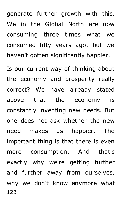generate further growth with this. We in the Global North are now consuming three times what we consumed fifty years ago, but we haven't gotten significantly happier.

123 Is our current way of thinking about the economy and prosperity really correct? We have already stated above that the economy is constantly inventing new needs. But one does not ask whether the new need makes us happier. The important thing is that there is even more consumption. And that's exactly why we're getting further and further away from ourselves, why we don't know anymore what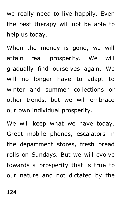we really need to live happily. Even the best therapy will not be able to help us today.

When the money is gone, we will attain real prosperity. We will gradually find ourselves again. We will no longer have to adapt to winter and summer collections or other trends, but we will embrace our own individual prosperity.

We will keep what we have today. Great mobile phones, escalators in the department stores, fresh bread rolls on Sundays. But we will evolve towards a prosperity that is true to our nature and not dictated by the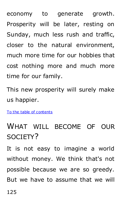economy to generate growth. Prosperity will be later, resting on Sunday, much less rush and traffic, closer to the natural environment, much more time for our hobbies that cost nothing more and much more time for our family.

This new prosperity will surely make us happier.

[To the table of contents](#page-3-0)

### WHAT WILL BECOME OF OUR SOCIETY?

It is not easy to imagine a world without money. We think that's not possible because we are so greedy. But we have to assume that we will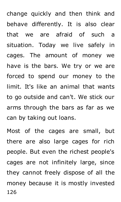change quickly and then think and behave differently. It is also clear that we are afraid of such a situation. Today we live safely in cages. The amount of money we have is the bars. We try or we are forced to spend our money to the limit. It's like an animal that wants to go outside and can't. We stick our arms through the bars as far as we can by taking out loans.

126 Most of the cages are small, but there are also large cages for rich people. But even the richest people's cages are not infinitely large, since they cannot freely dispose of all the money because it is mostly invested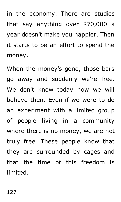in the economy. There are studies that say anything over \$70,000 a year doesn't make you happier. Then it starts to be an effort to spend the money.

When the money's gone, those bars go away and suddenly we're free. We don't know today how we will behave then. Even if we were to do an experiment with a limited group of people living in a community where there is no money, we are not truly free. These people know that they are surrounded by cages and that the time of this freedom is limited.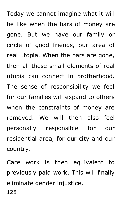Today we cannot imagine what it will be like when the bars of money are gone. But we have our family or circle of good friends, our area of real utopia. When the bars are gone, then all these small elements of real utopia can connect in brotherhood. The sense of responsibility we feel for our families will expand to others when the constraints of money are removed. We will then also feel personally responsible for our residential area, for our city and our country.

128 Care work is then equivalent to previously paid work. This will finally eliminate gender injustice.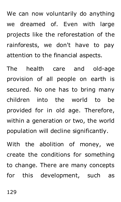We can now voluntarily do anything we dreamed of. Even with large projects like the reforestation of the rainforests, we don't have to pay attention to the financial aspects.

The health care and old-age provision of all people on earth is secured. No one has to bring many children into the world to be provided for in old age. Therefore, within a generation or two, the world population will decline significantly.

With the abolition of money, we create the conditions for something to change. There are many concepts for this development, such as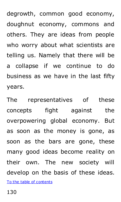degrowth, common good economy, doughnut economy, commons and others. They are ideas from people who worry about what scientists are telling us. Namely that there will be a collapse if we continue to do business as we have in the last fifty years.

The representatives of these concepts fight against the overpowering global economy. But as soon as the money is gone, as soon as the bars are gone, these many good ideas become reality on their own. The new society will develop on the basis of these ideas. [To the table of contents](#page-3-0)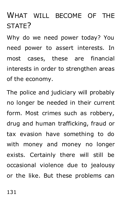WHAT WILL BECOME OF THE STATE?

Why do we need power today? You need power to assert interests. In most cases, these are financial interests in order to strengthen areas of the economy.

The police and judiciary will probably no longer be needed in their current form. Most crimes such as robbery, drug and human trafficking, fraud or tax evasion have something to do with money and money no longer exists. Certainly there will still be occasional violence due to jealousy or the like. But these problems can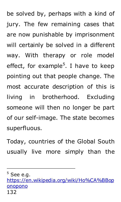be solved by, perhaps with a kind of jury. The few remaining cases that are now punishable by imprisonment will certainly be solved in a different way. With therapy or role model effect, for example<sup>5</sup>. I have to keep pointing out that people change. The most accurate description of this is living in brotherhood. Excluding someone will then no longer be part of our self-image. The state becomes superfluous.

Today, countries of the Global South usually live more simply than the

j

132 [https://en.wikipedia.org/wiki/Ho%CA%BBop](https://de.wikipedia.org/wiki/Ho%CA%BBoponopono#Das_Verfahren) [onopono](https://de.wikipedia.org/wiki/Ho%CA%BBoponopono#Das_Verfahren)

 $<sup>5</sup>$  See e.g.</sup>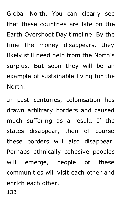Global North. You can clearly see that these countries are late on the Earth Overshoot Day timeline. By the time the money disappears, they likely still need help from the North's surplus. But soon they will be an example of sustainable living for the North.

In past centuries, colonisation has drawn arbitrary borders and caused much suffering as a result. If the states disappear, then of course these borders will also disappear. Perhaps ethnically cohesive peoples will emerge, people of these communities will visit each other and enrich each other.

133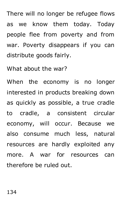There will no longer be refugee flows as we know them today. Today people flee from poverty and from war. Poverty disappears if you can distribute goods fairly.

What about the war?

When the economy is no longer interested in products breaking down as quickly as possible, a true cradle to cradle, a consistent circular economy, will occur. Because we also consume much less, natural resources are hardly exploited any more. A war for resources can therefore be ruled out.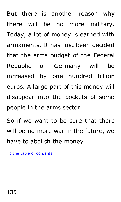But there is another reason why there will be no more military. Today, a lot of money is earned with armaments. It has just been decided that the arms budget of the Federal Republic of Germany will be increased by one hundred billion euros. A large part of this money will disappear into the pockets of some people in the arms sector.

So if we want to be sure that there will be no more war in the future, we have to abolish the money.

[To the table of contents](#page-3-0)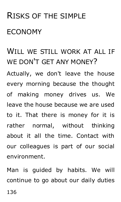# RISKS OF THE SIMPLE ECONOMY

### WILL WE STILL WORK AT ALL IF WE DON'T GET ANY MONEY?

Actually, we don't leave the house every morning because the thought of making money drives us. We leave the house because we are used to it. That there is money for it is rather normal, without thinking about it all the time. Contact with our colleagues is part of our social environment.

Man is guided by habits. We will continue to go about our daily duties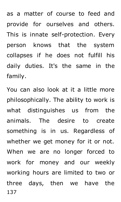as a matter of course to feed and provide for ourselves and others. This is innate self-protection. Every person knows that the system collapses if he does not fulfill his daily duties. It's the same in the family.

137 You can also look at it a little more philosophically. The ability to work is what distinguishes us from the animals. The desire to create something is in us. Regardless of whether we get money for it or not. When we are no longer forced to work for money and our weekly working hours are limited to two or three days, then we have the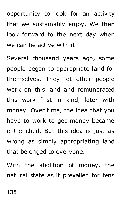opportunity to look for an activity that we sustainably enjoy. We then look forward to the next day when we can be active with it.

Several thousand years ago, some people began to appropriate land for themselves. They let other people work on this land and remunerated this work first in kind, later with money. Over time, the idea that you have to work to get money became entrenched. But this idea is just as wrong as simply appropriating land that belonged to everyone.

With the abolition of money, the natural state as it prevailed for tens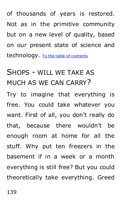of thousands of years is restored. Not as in the primitive community but on a new level of quality, based on our present state of science and technology. [To the table of contents](#page-3-0)

### SHOPS - WILL WE TAKE AS MUCH AS WE CAN CARRY?

Try to imagine that everything is free. You could take whatever you want. First of all, you don't really do that, because there wouldn't be enough room at home for all the stuff. Why put ten freezers in the basement if in a week or a month everything is still free? But you could theoretically take everything. Greed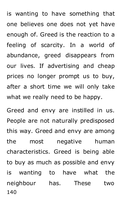is wanting to have something that one believes one does not yet have enough of. Greed is the reaction to a feeling of scarcity. In a world of abundance, greed disappears from our lives. If advertising and cheap prices no longer prompt us to buy, after a short time we will only take what we really need to be happy.

140 Greed and envy are instilled in us. People are not naturally predisposed this way. Greed and envy are among the most negative human characteristics. Greed is being able to buy as much as possible and envy is wanting to have what the neighbour has. These two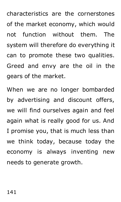characteristics are the cornerstones of the market economy, which would not function without them. The system will therefore do everything it can to promote these two qualities. Greed and envy are the oil in the gears of the market.

When we are no longer bombarded by advertising and discount offers, we will find ourselves again and feel again what is really good for us. And I promise you, that is much less than we think today, because today the economy is always inventing new needs to generate growth.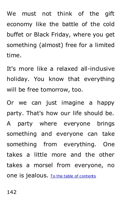We must not think of the gift economy like the battle of the cold buffet or Black Friday, where you get something (almost) free for a limited time.

It's more like a relaxed all-inclusive holiday. You know that everything will be free tomorrow, too.

Or we can just imagine a happy party. That's how our life should be. A party where everyone brings something and everyone can take something from everything. One takes a little more and the other takes a morsel from everyone, no one is jealous. [To the table of contents](#page-3-0)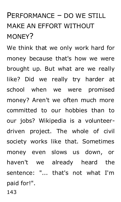## PERFORMANCE – DO WE STILL MAKE AN EFFORT WITHOUT MON<sub>FY</sub>?

We think that we only work hard for money because that's how we were brought up. But what are we really like? Did we really try harder at school when we were promised money? Aren't we often much more committed to our hobbies than to our jobs? Wikipedia is a volunteerdriven project. The whole of civil society works like that. Sometimes money even slows us down, or haven't we already heard the sentence: "... that's not what I'm paid for!".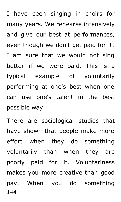I have been singing in choirs for many years. We rehearse intensively and give our best at performances, even though we don't get paid for it. I am sure that we would not sing better if we were paid. This is a typical example of voluntarily performing at one's best when one can use one's talent in the best possible way.

144 There are sociological studies that have shown that people make more effort when they do something voluntarily than when they are poorly paid for it. Voluntariness makes you more creative than good pay. When you do something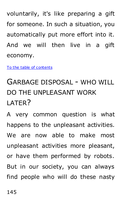voluntarily, it's like preparing a gift for someone. In such a situation, you automatically put more effort into it. And we will then live in a gift economy.

[To the table of contents](#page-3-0)

# GARBAGE DISPOSAL - WHO WILL DO THE UNPLEASANT WORK LATER?

A very common question is what happens to the unpleasant activities. We are now able to make most unpleasant activities more pleasant, or have them performed by robots. But in our society, you can always find people who will do these nasty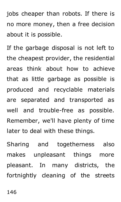jobs cheaper than robots. If there is no more money, then a free decision about it is possible.

If the garbage disposal is not left to the cheapest provider, the residential areas think about how to achieve that as little garbage as possible is produced and recyclable materials are separated and transported as well and trouble-free as possible. Remember, we'll have plenty of time later to deal with these things.

Sharing and togetherness also makes unpleasant things more pleasant. In many districts, the fortnightly cleaning of the streets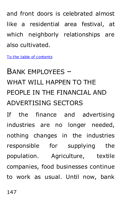and front doors is celebrated almost like a residential area festival, at which neighborly relationships are also cultivated.

[To the table of contents](#page-3-0)

# BANK EMPLOYEES – WHAT WILL HAPPEN TO THE PEOPLE IN THE FINANCIAL AND ADVERTISING SECTORS

If the finance and advertising industries are no longer needed, nothing changes in the industries responsible for supplying the population. Agriculture, textile companies, food businesses continue to work as usual. Until now, bank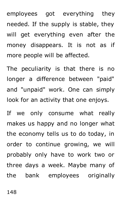employees got everything they needed. If the supply is stable, they will get everything even after the money disappears. It is not as if more people will be affected.

The peculiarity is that there is no longer a difference between "paid" and "unpaid" work. One can simply look for an activity that one enjoys.

If we only consume what really makes us happy and no longer what the economy tells us to do today, in order to continue growing, we will probably only have to work two or three days a week. Maybe many of the bank employees originally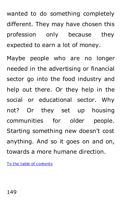wanted to do something completely different. They may have chosen this profession only because they expected to earn a lot of money.

Maybe people who are no longer needed in the advertising or financial sector go into the food industry and help out there. Or they help in the social or educational sector. Why not? Or they set up housing communities for older people. Starting something new doesn't cost anything. And so it goes on and on, towards a more humane direction.

To [the table of contents](#page-3-0)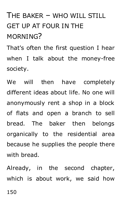# THE BAKER – WHO WILL STILL GET UP AT FOUR IN THE MORNING?

That's often the first question I hear when I talk about the money-free society.

We will then have completely different ideas about life. No one will anonymously rent a shop in a block of flats and open a branch to sell bread. The baker then belongs organically to the residential area because he supplies the people there with bread

Already, in the second chapter, which is about work, we said how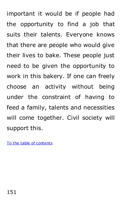important it would be if people had the opportunity to find a job that suits their talents. Everyone knows that there are people who would give their lives to bake. These people just need to be given the opportunity to work in this bakery. If one can freely choose an activity without being under the constraint of having to feed a family, talents and necessities will come together. Civil society will support this.

To [the table of contents](#page-3-0)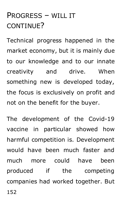### PROGRESS – WILL IT CONTINUE?

Technical progress happened in the market economy, but it is mainly due to our knowledge and to our innate creativity and drive. When something new is developed today, the focus is exclusively on profit and not on the benefit for the buyer.

152 The development of the Covid-19 vaccine in particular showed how harmful competition is. Development would have been much faster and much more could have been produced if the competing companies had worked together. But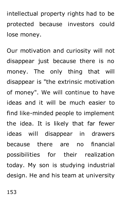intellectual property rights had to be protected because investors could lose money.

Our motivation and curiosity will not disappear just because there is no money. The only thing that will disappear is "the extrinsic motivation of money". We will continue to have ideas and it will be much easier to find like-minded people to implement the idea. It is likely that far fewer ideas will disappear in drawers because there are no financial possibilities for their realization today. My son is studying industrial design. He and his team at university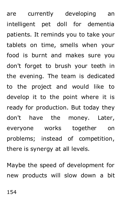are currently developing an intelligent pet doll for dementia patients. It reminds you to take your tablets on time, smells when your food is burnt and makes sure you don't forget to brush your teeth in the evening. The team is dedicated to the project and would like to develop it to the point where it is ready for production. But today they don't have the money. Later, everyone works together on problems; instead of competition, there is synergy at all levels.

Maybe the speed of development for new products will slow down a bit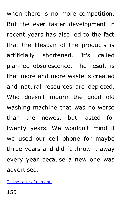when there is no more competition. But the ever faster development in recent years has also led to the fact that the lifespan of the products is artificially shortened. It's called planned obsolescence. The result is that more and more waste is created and natural resources are depleted. Who doesn't mourn the good old washing machine that was no worse than the newest but lasted for twenty years. We wouldn't mind if we used our cell phone for maybe three years and didn't throw it away every year because a new one was advertised.

[To the table of contents](#page-3-0)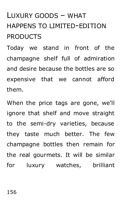# LUXURY GOODS – WHAT HAPPENS TO LIMITED-EDITION **PRODUCTS**

Today we stand in front of the champagne shelf full of admiration and desire because the bottles are so expensive that we cannot afford them.

When the price tags are gone, we'll ignore that shelf and move straight to the semi-dry varieties, because they taste much better. The few champagne bottles then remain for the real gourmets. It will be similar for luxury watches, brilliant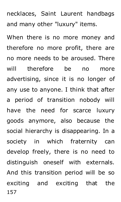necklaces, Saint Laurent handbags and many other "luxury" items.

157 When there is no more money and therefore no more profit, there are no more needs to be aroused. There will therefore be no more advertising, since it is no longer of any use to anyone. I think that after a period of transition nobody will have the need for scarce luxury goods anymore, also because the social hierarchy is disappearing. In a society in which fraternity can develop freely, there is no need to distinguish oneself with externals. And this transition period will be so exciting and exciting that the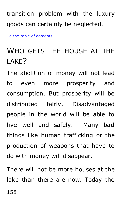transition problem with the luxury goods can certainly be neglected.

[To the table of contents](#page-3-0)

### WHO GETS THE HOUSE AT THE LAKE?

The abolition of money will not lead to even more prosperity and consumption. But prosperity will be distributed fairly. Disadvantaged people in the world will be able to live well and safely. Many bad things like human trafficking or the production of weapons that have to do with money will disappear.

There will not be more houses at the lake than there are now. Today the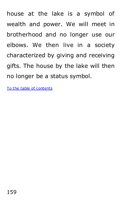house at the lake is a symbol of wealth and power. We will meet in brotherhood and no longer use our elbows. We then live in a society characterized by giving and receiving gifts. The house by the lake will then no longer be a status symbol.

[To the table of contents](#page-3-0)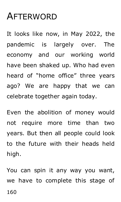# AFTERWORD

It looks like now, in May 2022, the pandemic is largely over. The economy and our working world have been shaked up. Who had even heard of "home office" three years ago? We are happy that we can celebrate together again today.

Even the abolition of money would not require more time than two years. But then all people could look to the future with their heads held high.

160 You can spin it any way you want, we have to complete this stage of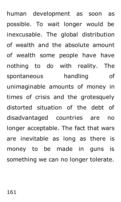human development as soon as possible. To wait longer would be inexcusable. The global distribution of wealth and the absolute amount of wealth some people have have nothing to do with reality. The spontaneous handling of unimaginable amounts of money in times of crisis and the grotesquely distorted situation of the debt of disadvantaged countries are no longer acceptable. The fact that wars are inevitable as long as there is money to be made in guns is something we can no longer tolerate.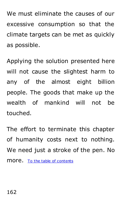We must eliminate the causes of our excessive consumption so that the climate targets can be met as quickly as possible.

Applying the solution presented here will not cause the slightest harm to any of the almost eight billion people. The goods that make up the wealth of mankind will not be touched.

The effort to terminate this chapter of humanity costs next to nothing. We need just a stroke of the pen. No more. [To the table of contents](#page-3-0)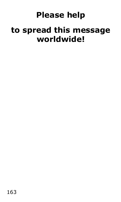### **Please help**

### **to spread this message worldwide!**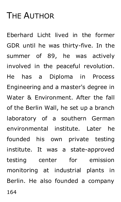# THE AUTHOR

Eberhard Licht lived in the former GDR until he was thirty-five. In the summer of 89, he was actively involved in the peaceful revolution. He has a Diploma in Process Engineering and a master's degree in Water & Environment. After the fall of the Berlin Wall, he set up a branch laboratory of a southern German environmental institute. Later he founded his own private testing institute. It was a state-approved testing center for emission monitoring at industrial plants in Berlin. He also founded a company

164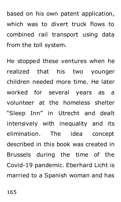based on his own patent application, which was to divert truck flows to combined rail transport using data from the toll system.

He stopped these ventures when he realized that his two younger children needed more time. He later worked for several years as a volunteer at the homeless shelter "Sleep Inn" in Utrecht and dealt intensively with inequality and its elimination. The idea concept described in this book was created in Brussels during the time of the Covid-19 pandemic. Eberhard Licht is married to a Spanish woman and has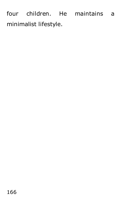four children. He maintains a minimalist lifestyle.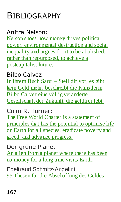# BIBLIOGRAPHY

#### Anitra Nelson:

Nelson shoes how money drives [political](https://anitranelson.info/) power, [environmental](https://anitranelson.info/) destruction and social inequality and argues for it to be [abolished,](https://anitranelson.info/) rather than [repurposed,](https://anitranelson.info/) to achieve a [postcapitalist](https://anitranelson.info/) future.

#### Bilbo Calvez

In [ihrem](https://www.youtube.com/watch?v=sc6TMHbKUaM) Buch Saruj – Stell dir vor, es gibt kein Geld mehr, beschreibt die [Künstlerin](https://www.youtube.com/watch?v=sc6TMHbKUaM) Bilbo Calvez eine völlig [veränderte](https://www.youtube.com/watch?v=sc6TMHbKUaM) [Gesellschaft](https://www.youtube.com/watch?v=sc6TMHbKUaM) der Zukunft, die geldfrei lebt.

#### Colin R. Turner:

The Free World Charter is a [statement](https://freeworldcharter.org/en) of [principles](https://freeworldcharter.org/en) that has the potential to optimise life on Earth for all species, [eradicate](https://freeworldcharter.org/en) poverty and greed, and advance [progress.](https://freeworldcharter.org/en)

#### Der grüne Planet

An alien from a [planet](https://www.ldsr-mediatreff.tv/watch.php?vid=fd6632e65) where there has been no [money](https://www.ldsr-mediatreff.tv/watch.php?vid=fd6632e65) for a long time visits Earth.

Edeltraud Schmitz-Angelini 95 Thesen für die [Abschaffung](http://www.angemitz.ch/media/686823b0a75dc5e1ffffabd5ffffffe6.pdf) des Geldes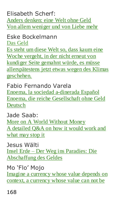Elisabeth Scherf: Anders [denken:](https://www.welt-ohne-geld.de/) eine Welt ohne Geld Von allem [weniger](https://www.welt-ohne-geld.de/) und von Liebe mehr

Eske Bockelmann Das [Geld](https://www.matthes-seitz-berlin.de/buch/das-geld-12762.html) Es steht um diese Welt so, dass [kaum](https://vimeopro.com/sunflowerfoundation/eske-bockelmann/video/328497124) eine Woche [vergeht,](https://vimeopro.com/sunflowerfoundation/eske-bockelmann/video/328497124) in der nicht erneut von [kundiger](https://vimeopro.com/sunflowerfoundation/eske-bockelmann/video/328497124) Seite gemahnt würde, es müsse [allerspätestens](https://vimeopro.com/sunflowerfoundation/eske-bockelmann/video/328497124) jetzt etwas wegen des Klimas [geschehen.](https://vimeopro.com/sunflowerfoundation/eske-bockelmann/video/328497124)

Fabio Fernando Varela Enoema, la sociedad [a-dinerada](https://letusbe.one/documents/Enoema.pdf) Español Enoema, die reiche [Gesellschaft](https://letusbe.one/documents/Enoema_deutsch_02-22.pdf) ohne Geld [Deutsch](https://letusbe.one/documents/Enoema_deutsch_02-22.pdf)

Jade Saab: More on A World [Without](https://jadesaab.com/more-on-a-world-without-money-6c9f832c5740) Money A [detailed](https://jadesaab.com/more-on-a-world-without-money-6c9f832c5740) Q&A on how it would work and [what](https://jadesaab.com/more-on-a-world-without-money-6c9f832c5740) may stop it

Jesus Wälti Insel Erde – Der Weg ins [Paradies:](https://equapio.com/finanzmarkt/insel-erde-der-weg-ins-paradies-die-abschaffung-des-geldes/2/) Die [Abschaffung](https://equapio.com/finanzmarkt/insel-erde-der-weg-ins-paradies-die-abschaffung-des-geldes/2/) des Geldes

Mo 'Flo' Mojo Imagine a [currency](https://moflomojo.blogspot.com/2016/02/money-doesnt-make-world-go-round.html) whose value depends on context, a [currency](https://moflomojo.blogspot.com/2016/02/money-doesnt-make-world-go-round.html) whose value can not be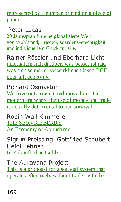represented by a number printed on a piece of paper.

Peter Lucas

20 Jahresplan für eine [globalisierte](http://www.utopia-ist-machbar.de/utopia/index.php) Welt von Wohlstand, Frieden, sozialer [Gerechtigkeit](http://www.utopia-ist-machbar.de/utopia/index.php) und [individuellem](http://www.utopia-ist-machbar.de/utopia/index.php) Glück für alle.

Rainer Rössler und Eberhard Licht [unterhalten](https://www.youtube.com/watch?v=ScAOOo-zBJY) sich darüber, was besser ist und was sich schneller [verwirklichen](https://www.youtube.com/watch?v=ScAOOo-zBJY) lässt: BGE oder gift [economy.](https://www.youtube.com/watch?v=ScAOOo-zBJY)

Richard Osmaston: We have [outgrown](http://moneyfreeparty.org.nz/about/) it and moved into the [modern](http://moneyfreeparty.org.nz/about/) era where the use of money and trade is actually [detrimental](http://moneyfreeparty.org.nz/about/) to our survival.

Robin Wall Kimmerer: THE [SERVICEBERRY](https://emergencemagazine.org/essay/the-serviceberry/) An Economy of [Abundance](https://emergencemagazine.org/essay/the-serviceberry/)

Sigrun Preissing, Gottfried Schubert, Heidi Lehner In [Zukunft](https://issuu.com/conzettverlag/docs/in-zukunft-ohne-geld2) ohne Geld?

The Auravana Project This is a [proposal](https://auravana.org/) for a societal system that operates [effectively](https://auravana.org/) without trade, with the